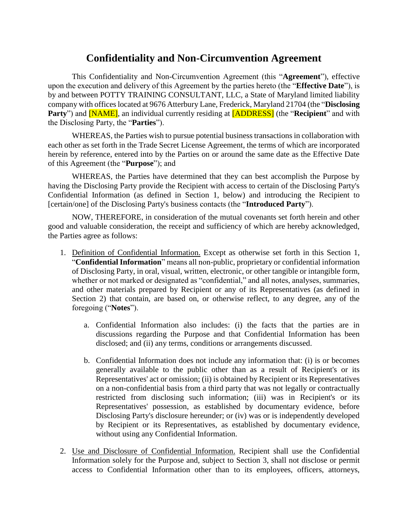## **Confidentiality and Non-Circumvention Agreement**

This Confidentiality and Non-Circumvention Agreement (this "**Agreement**"), effective upon the execution and delivery of this Agreement by the parties hereto (the "**Effective Date**"), is by and between POTTY TRAINING CONSULTANT, LLC, a State of Maryland limited liability company with offices located at 9676 Atterbury Lane, Frederick, Maryland 21704 (the "**Disclosing Party**") and **[NAME]**, an individual currently residing at **[ADDRESS]** (the "**Recipient**" and with the Disclosing Party, the "**Parties**").

WHEREAS, the Parties wish to pursue potential business transactions in collaboration with each other as set forth in the Trade Secret License Agreement, the terms of which are incorporated herein by reference, entered into by the Parties on or around the same date as the Effective Date of this Agreement (the "**Purpose**"); and

WHEREAS, the Parties have determined that they can best accomplish the Purpose by having the Disclosing Party provide the Recipient with access to certain of the Disclosing Party's Confidential Information (as defined in [Section 1,](#page-0-0) below) and introducing the Recipient to [certain/one] of the Disclosing Party's business contacts (the "**Introduced Party**").

NOW, THEREFORE, in consideration of the mutual covenants set forth herein and other good and valuable consideration, the receipt and sufficiency of which are hereby acknowledged, the Parties agree as follows:

- <span id="page-0-0"></span>1. Definition of Confidential Information. Except as otherwise set forth in this Section 1, "**Confidential Information**" means all non-public, proprietary or confidential information of Disclosing Party, in oral, visual, written, electronic, or other tangible or intangible form, whether or not marked or designated as "confidential," and all notes, analyses, summaries, and other materials prepared by Recipient or any of its Representatives (as defined in [Section 2\)](#page-0-1) that contain, are based on, or otherwise reflect, to any degree, any of the foregoing ("**Notes**").
	- a. Confidential Information also includes: (i) the facts that the parties are in discussions regarding the Purpose and that Confidential Information has been disclosed; and (ii) any terms, conditions or arrangements discussed.
	- b. Confidential Information does not include any information that: (i) is or becomes generally available to the public other than as a result of Recipient's or its Representatives' act or omission; (ii) is obtained by Recipient or its Representatives on a non-confidential basis from a third party that was not legally or contractually restricted from disclosing such information; (iii) was in Recipient's or its Representatives' possession, as established by documentary evidence, before Disclosing Party's disclosure hereunder; or (iv) was or is independently developed by Recipient or its Representatives, as established by documentary evidence, without using any Confidential Information.
- <span id="page-0-1"></span>2. Use and Disclosure of Confidential Information. Recipient shall use the Confidential Information solely for the Purpose and, subject to [Section 3,](#page-1-0) shall not disclose or permit access to Confidential Information other than to its employees, officers, attorneys,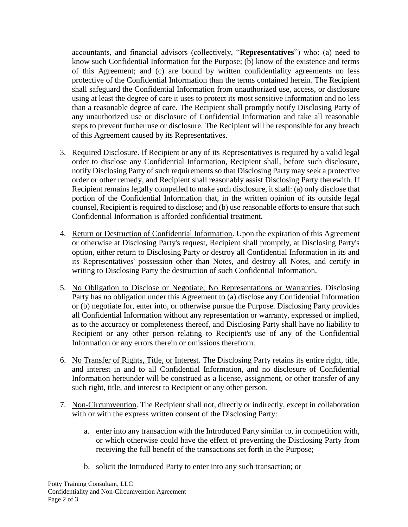accountants, and financial advisors (collectively, "**Representatives**") who: (a) need to know such Confidential Information for the Purpose; (b) know of the existence and terms of this Agreement; and (c) are bound by written confidentiality agreements no less protective of the Confidential Information than the terms contained herein. The Recipient shall safeguard the Confidential Information from unauthorized use, access, or disclosure using at least the degree of care it uses to protect its most sensitive information and no less than a reasonable degree of care. The Recipient shall promptly notify Disclosing Party of any unauthorized use or disclosure of Confidential Information and take all reasonable steps to prevent further use or disclosure. The Recipient will be responsible for any breach of this Agreement caused by its Representatives.

- <span id="page-1-0"></span>3. Required Disclosure. If Recipient or any of its Representatives is required by a valid legal order to disclose any Confidential Information, Recipient shall, before such disclosure, notify Disclosing Party of such requirements so that Disclosing Party may seek a protective order or other remedy, and Recipient shall reasonably assist Disclosing Party therewith. If Recipient remains legally compelled to make such disclosure, it shall: (a) only disclose that portion of the Confidential Information that, in the written opinion of its outside legal counsel, Recipient is required to disclose; and (b) use reasonable efforts to ensure that such Confidential Information is afforded confidential treatment.
- 4. Return or Destruction of Confidential Information. Upon the expiration of this Agreement or otherwise at Disclosing Party's request, Recipient shall promptly, at Disclosing Party's option, either return to Disclosing Party or destroy all Confidential Information in its and its Representatives' possession other than Notes, and destroy all Notes, and certify in writing to Disclosing Party the destruction of such Confidential Information.
- 5. No Obligation to Disclose or Negotiate; No Representations or Warranties. Disclosing Party has no obligation under this Agreement to (a) disclose any Confidential Information or (b) negotiate for, enter into, or otherwise pursue the Purpose. Disclosing Party provides all Confidential Information without any representation or warranty, expressed or implied, as to the accuracy or completeness thereof, and Disclosing Party shall have no liability to Recipient or any other person relating to Recipient's use of any of the Confidential Information or any errors therein or omissions therefrom.
- 6. No Transfer of Rights, Title, or Interest. The Disclosing Party retains its entire right, title, and interest in and to all Confidential Information, and no disclosure of Confidential Information hereunder will be construed as a license, assignment, or other transfer of any such right, title, and interest to Recipient or any other person.
- 7. Non-Circumvention. The Recipient shall not, directly or indirectly, except in collaboration with or with the express written consent of the Disclosing Party:
	- a. enter into any transaction with the Introduced Party similar to, in competition with, or which otherwise could have the effect of preventing the Disclosing Party from receiving the full benefit of the transactions set forth in the Purpose;
	- b. solicit the Introduced Party to enter into any such transaction; or